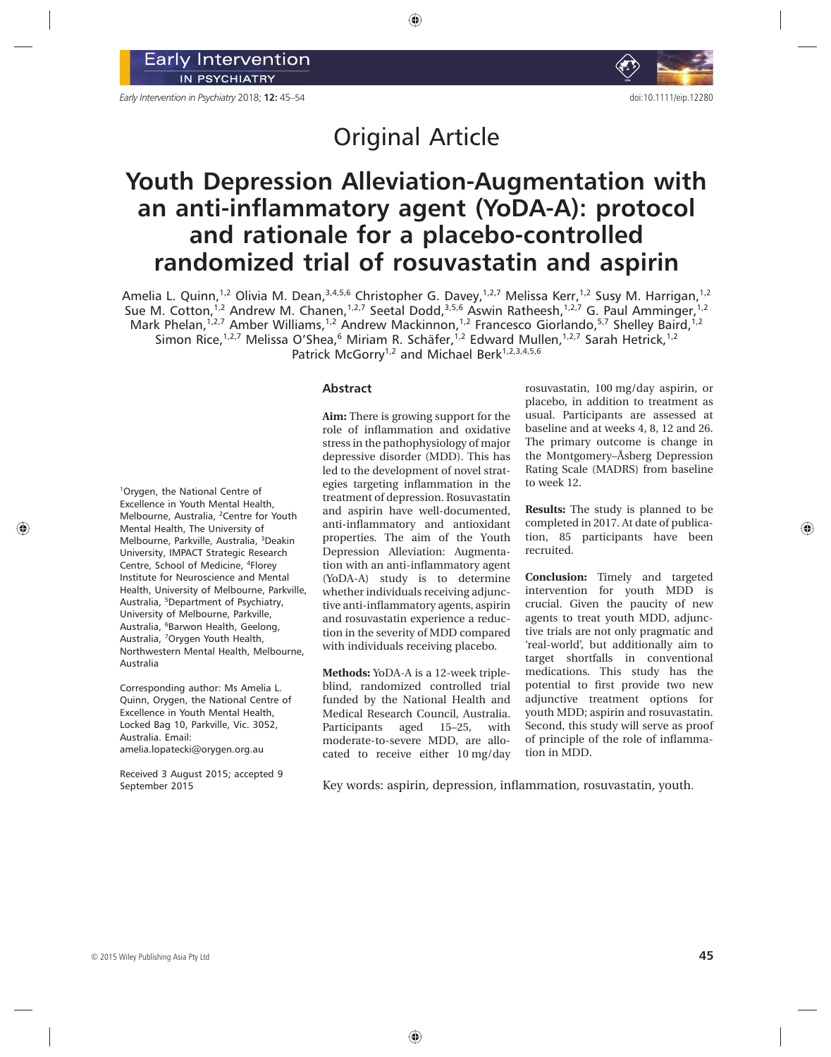*Early Intervention in Psychiatry* 2015; **••:** ••–•• doi:10.1111/eip.12280 *Early Intervention in Psychiatry* 2018; **12:** 45–54 doi:10.1111/eip.12280



# Original Article

# **Youth Depression Alleviation-Augmentation with an anti-inflammatory agent (YoDA-A): protocol and rationale for a placebo-controlled randomized trial of rosuvastatin and aspirin**

Amelia L. Quinn,<sup>1,2</sup> Olivia M. Dean,<sup>3,4,5,6</sup> Christopher G. Davey,<sup>1,2,7</sup> Melissa Kerr,<sup>1,2</sup> Susy M. Harrigan,<sup>1,2</sup> Sue M. Cotton,<sup>1,2</sup> Andrew M. Chanen,<sup>1,2,7</sup> Seetal Dodd,<sup>3,5,6</sup> Aswin Ratheesh,<sup>1,2,7</sup> G. Paul Amminger,<sup>1,2</sup> Mark Phelan,<sup>1,2,7</sup> Amber Williams,<sup>1,2</sup> Andrew Mackinnon,<sup>1,2</sup> Francesco Giorlando,<sup>5,7</sup> Shelley Baird,<sup>1,2</sup> Simon Rice,<sup>1,2,7</sup> Melissa O'Shea,<sup>6</sup> Miriam R. Schäfer,<sup>1,2</sup> Edward Mullen,<sup>1,2,7</sup> Sarah Hetrick,<sup>1,2</sup> Patrick McGorry<sup>1,2</sup> and Michael Berk<sup>1,2,3,4,5,6</sup>

#### **Abstract**

1 Orygen, the National Centre of Excellence in Youth Mental Health, Melbourne, Australia, <sup>2</sup>Centre for Youth Mental Health, The University of Melbourne, Parkville, Australia, <sup>3</sup>Deakin University, IMPACT Strategic Research Centre, School of Medicine, <sup>4</sup>Florey Institute for Neuroscience and Mental Health, University of Melbourne, Parkville, Australia, <sup>5</sup>Department of Psychiatry, University of Melbourne, Parkville, Australia, <sup>6</sup>Barwon Health, Geelong, Australia, <sup>7</sup>Orygen Youth Health, Northwestern Mental Health, Melbourne, Australia

Corresponding author: Ms Amelia L. Quinn, Orygen, the National Centre of Excellence in Youth Mental Health, Locked Bag 10, Parkville, Vic. 3052, Australia. Email: amelia.lopatecki@orygen.org.au

Received 3 August 2015; accepted 9 September 2015

**Aim:** There is growing support for the role of inflammation and oxidative stress in the pathophysiology of major depressive disorder (MDD). This has led to the development of novel strategies targeting inflammation in the treatment of depression. Rosuvastatin and aspirin have well-documented, anti-inflammatory and antioxidant properties. The aim of the Youth Depression Alleviation: Augmentation with an anti-inflammatory agent (YoDA-A) study is to determine whether individuals receiving adjunctive anti-inflammatory agents, aspirin and rosuvastatin experience a reduction in the severity of MDD compared with individuals receiving placebo.

**Methods:** YoDA-A is a 12-week tripleblind, randomized controlled trial funded by the National Health and Medical Research Council, Australia. Participants aged 15–25, with moderate-to-severe MDD, are allocated to receive either 10 mg/day rosuvastatin, 100 mg/day aspirin, or placebo, in addition to treatment as usual. Participants are assessed at baseline and at weeks 4, 8, 12 and 26. The primary outcome is change in the Montgomery–Åsberg Depression Rating Scale (MADRS) from baseline to week 12.

**Results:** The study is planned to be completed in 2017. At date of publication, 85 participants have been recruited.

**Conclusion:** Timely and targeted intervention for youth MDD is crucial. Given the paucity of new agents to treat youth MDD, adjunctive trials are not only pragmatic and 'real-world', but additionally aim to target shortfalls in conventional medications. This study has the potential to first provide two new adjunctive treatment options for youth MDD; aspirin and rosuvastatin. Second, this study will serve as proof of principle of the role of inflammation in MDD.

Key words: aspirin, depression, inflammation, rosuvastatin, youth.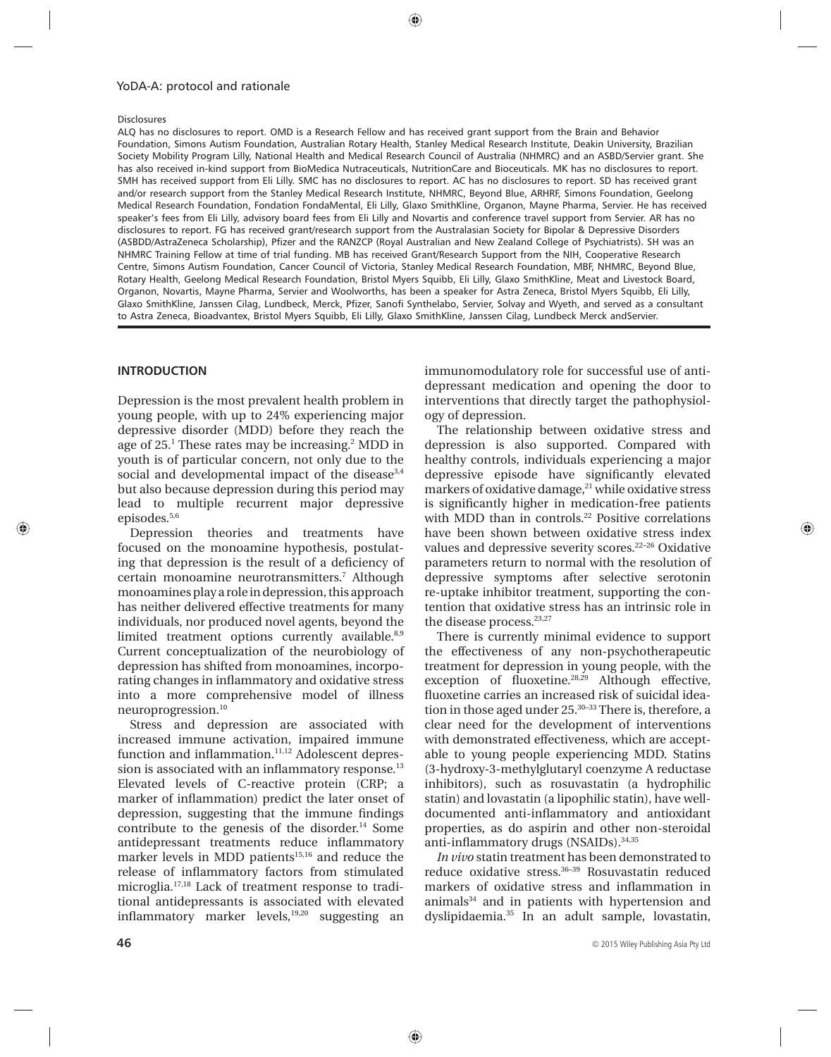#### Disclosures

ALQ has no disclosures to report. OMD is a Research Fellow and has received grant support from the Brain and Behavior Foundation, Simons Autism Foundation, Australian Rotary Health, Stanley Medical Research Institute, Deakin University, Brazilian Society Mobility Program Lilly, National Health and Medical Research Council of Australia (NHMRC) and an ASBD/Servier grant. She has also received in-kind support from BioMedica Nutraceuticals, NutritionCare and Bioceuticals. MK has no disclosures to report. SMH has received support from Eli Lilly. SMC has no disclosures to report. AC has no disclosures to report. SD has received grant and/or research support from the Stanley Medical Research Institute, NHMRC, Beyond Blue, ARHRF, Simons Foundation, Geelong Medical Research Foundation, Fondation FondaMental, Eli Lilly, Glaxo SmithKline, Organon, Mayne Pharma, Servier. He has received speaker's fees from Eli Lilly, advisory board fees from Eli Lilly and Novartis and conference travel support from Servier. AR has no disclosures to report. FG has received grant/research support from the Australasian Society for Bipolar & Depressive Disorders (ASBDD/AstraZeneca Scholarship), Pfizer and the RANZCP (Royal Australian and New Zealand College of Psychiatrists). SH was an NHMRC Training Fellow at time of trial funding. MB has received Grant/Research Support from the NIH, Cooperative Research Centre, Simons Autism Foundation, Cancer Council of Victoria, Stanley Medical Research Foundation, MBF, NHMRC, Beyond Blue, Rotary Health, Geelong Medical Research Foundation, Bristol Myers Squibb, Eli Lilly, Glaxo SmithKline, Meat and Livestock Board, Organon, Novartis, Mayne Pharma, Servier and Woolworths, has been a speaker for Astra Zeneca, Bristol Myers Squibb, Eli Lilly, Glaxo SmithKline, Janssen Cilag, Lundbeck, Merck, Pfizer, Sanofi Synthelabo, Servier, Solvay and Wyeth, and served as a consultant to Astra Zeneca, Bioadvantex, Bristol Myers Squibb, Eli Lilly, Glaxo SmithKline, Janssen Cilag, Lundbeck Merck andServier.

## **INTRODUCTION**

Depression is the most prevalent health problem in young people, with up to 24% experiencing major depressive disorder (MDD) before they reach the age of  $25<sup>1</sup>$  These rates may be increasing.<sup>2</sup> MDD in youth is of particular concern, not only due to the social and developmental impact of the disease $3,4$ but also because depression during this period may lead to multiple recurrent major depressive episodes.<sup>5,6</sup>

Depression theories and treatments have focused on the monoamine hypothesis, postulating that depression is the result of a deficiency of certain monoamine neurotransmitters.<sup>7</sup> Although monoamines play a role in depression, this approach has neither delivered effective treatments for many individuals, nor produced novel agents, beyond the limited treatment options currently available. $8,9$ Current conceptualization of the neurobiology of depression has shifted from monoamines, incorporating changes in inflammatory and oxidative stress into a more comprehensive model of illness neuroprogression.10

Stress and depression are associated with increased immune activation, impaired immune function and inflammation.<sup>11,12</sup> Adolescent depression is associated with an inflammatory response.<sup>13</sup> Elevated levels of C-reactive protein (CRP; a marker of inflammation) predict the later onset of depression, suggesting that the immune findings contribute to the genesis of the disorder. $14$  Some antidepressant treatments reduce inflammatory marker levels in MDD patients<sup>15,16</sup> and reduce the release of inflammatory factors from stimulated microglia.17,18 Lack of treatment response to traditional antidepressants is associated with elevated inflammatory marker levels, $19,20$  suggesting an

immunomodulatory role for successful use of antidepressant medication and opening the door to interventions that directly target the pathophysiology of depression.

The relationship between oxidative stress and depression is also supported. Compared with healthy controls, individuals experiencing a major depressive episode have significantly elevated markers of oxidative damage, $21$  while oxidative stress is significantly higher in medication-free patients with MDD than in controls.<sup>22</sup> Positive correlations have been shown between oxidative stress index values and depressive severity scores.<sup>22-26</sup> Oxidative parameters return to normal with the resolution of depressive symptoms after selective serotonin re-uptake inhibitor treatment, supporting the contention that oxidative stress has an intrinsic role in the disease process.<sup>23,27</sup>

There is currently minimal evidence to support the effectiveness of any non-psychotherapeutic treatment for depression in young people, with the exception of fluoxetine.<sup>28,29</sup> Although effective, fluoxetine carries an increased risk of suicidal ideation in those aged under 25.30–33 There is, therefore, a clear need for the development of interventions with demonstrated effectiveness, which are acceptable to young people experiencing MDD. Statins (3-hydroxy-3-methylglutaryl coenzyme A reductase inhibitors), such as rosuvastatin (a hydrophilic statin) and lovastatin (a lipophilic statin), have welldocumented anti-inflammatory and antioxidant properties, as do aspirin and other non-steroidal anti-inflammatory drugs (NSAIDs).<sup>34,35</sup>

*In vivo* statin treatment has been demonstrated to reduce oxidative stress.36–39 Rosuvastatin reduced markers of oxidative stress and inflammation in animals $34$  and in patients with hypertension and dyslipidaemia.35 In an adult sample, lovastatin,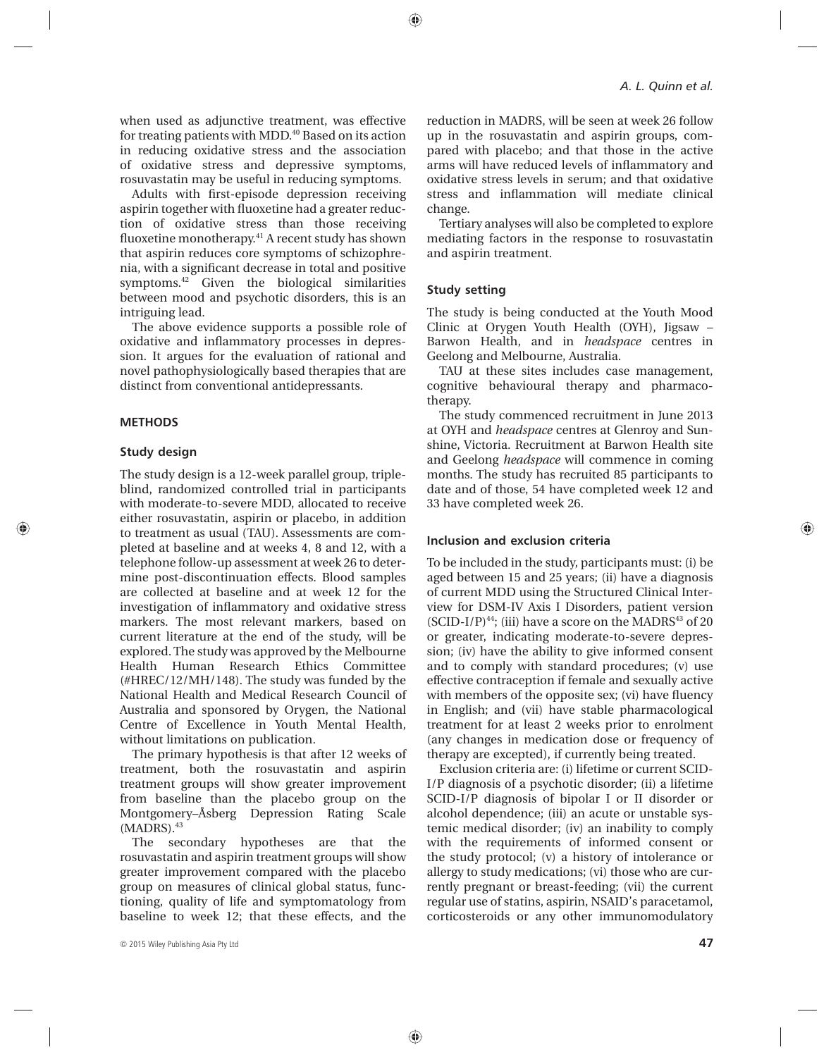when used as adjunctive treatment, was effective for treating patients with MDD.<sup>40</sup> Based on its action in reducing oxidative stress and the association of oxidative stress and depressive symptoms, rosuvastatin may be useful in reducing symptoms.

Adults with first-episode depression receiving aspirin together with fluoxetine had a greater reduction of oxidative stress than those receiving fluoxetine monotherapy.41 A recent study has shown that aspirin reduces core symptoms of schizophrenia, with a significant decrease in total and positive symptoms.42 Given the biological similarities between mood and psychotic disorders, this is an intriguing lead.

The above evidence supports a possible role of oxidative and inflammatory processes in depression. It argues for the evaluation of rational and novel pathophysiologically based therapies that are distinct from conventional antidepressants.

#### **METHODS**

#### **Study design**

The study design is a 12-week parallel group, tripleblind, randomized controlled trial in participants with moderate-to-severe MDD, allocated to receive either rosuvastatin, aspirin or placebo, in addition to treatment as usual (TAU). Assessments are completed at baseline and at weeks 4, 8 and 12, with a telephone follow-up assessment at week 26 to determine post-discontinuation effects. Blood samples are collected at baseline and at week 12 for the investigation of inflammatory and oxidative stress markers. The most relevant markers, based on current literature at the end of the study, will be explored. The study was approved by the Melbourne Health Human Research Ethics Committee (#HREC/12/MH/148). The study was funded by the National Health and Medical Research Council of Australia and sponsored by Orygen, the National Centre of Excellence in Youth Mental Health, without limitations on publication.

The primary hypothesis is that after 12 weeks of treatment, both the rosuvastatin and aspirin treatment groups will show greater improvement from baseline than the placebo group on the Montgomery–Åsberg Depression Rating Scale  $(MADRS).<sup>43</sup>$ 

The secondary hypotheses are that the rosuvastatin and aspirin treatment groups will show greater improvement compared with the placebo group on measures of clinical global status, functioning, quality of life and symptomatology from baseline to week 12; that these effects, and the reduction in MADRS, will be seen at week 26 follow up in the rosuvastatin and aspirin groups, compared with placebo; and that those in the active arms will have reduced levels of inflammatory and oxidative stress levels in serum; and that oxidative stress and inflammation will mediate clinical change.

Tertiary analyses will also be completed to explore mediating factors in the response to rosuvastatin and aspirin treatment.

#### **Study setting**

The study is being conducted at the Youth Mood Clinic at Orygen Youth Health (OYH), Jigsaw – Barwon Health, and in *headspace* centres in Geelong and Melbourne, Australia.

TAU at these sites includes case management, cognitive behavioural therapy and pharmacotherapy.

The study commenced recruitment in June 2013 at OYH and *headspace* centres at Glenroy and Sunshine, Victoria. Recruitment at Barwon Health site and Geelong *headspace* will commence in coming months. The study has recruited 85 participants to date and of those, 54 have completed week 12 and 33 have completed week 26.

#### **Inclusion and exclusion criteria**

To be included in the study, participants must: (i) be aged between 15 and 25 years; (ii) have a diagnosis of current MDD using the Structured Clinical Interview for DSM-IV Axis I Disorders, patient version  $(SCID-I/P)^{44}$ ; (iii) have a score on the MADRS<sup>43</sup> of 20 or greater, indicating moderate-to-severe depression; (iv) have the ability to give informed consent and to comply with standard procedures; (v) use effective contraception if female and sexually active with members of the opposite sex; (vi) have fluency in English; and (vii) have stable pharmacological treatment for at least 2 weeks prior to enrolment (any changes in medication dose or frequency of therapy are excepted), if currently being treated.

Exclusion criteria are: (i) lifetime or current SCID-I/P diagnosis of a psychotic disorder; (ii) a lifetime SCID-I/P diagnosis of bipolar I or II disorder or alcohol dependence; (iii) an acute or unstable systemic medical disorder; (iv) an inability to comply with the requirements of informed consent or the study protocol; (v) a history of intolerance or allergy to study medications; (vi) those who are currently pregnant or breast-feeding; (vii) the current regular use of statins, aspirin, NSAID's paracetamol, corticosteroids or any other immunomodulatory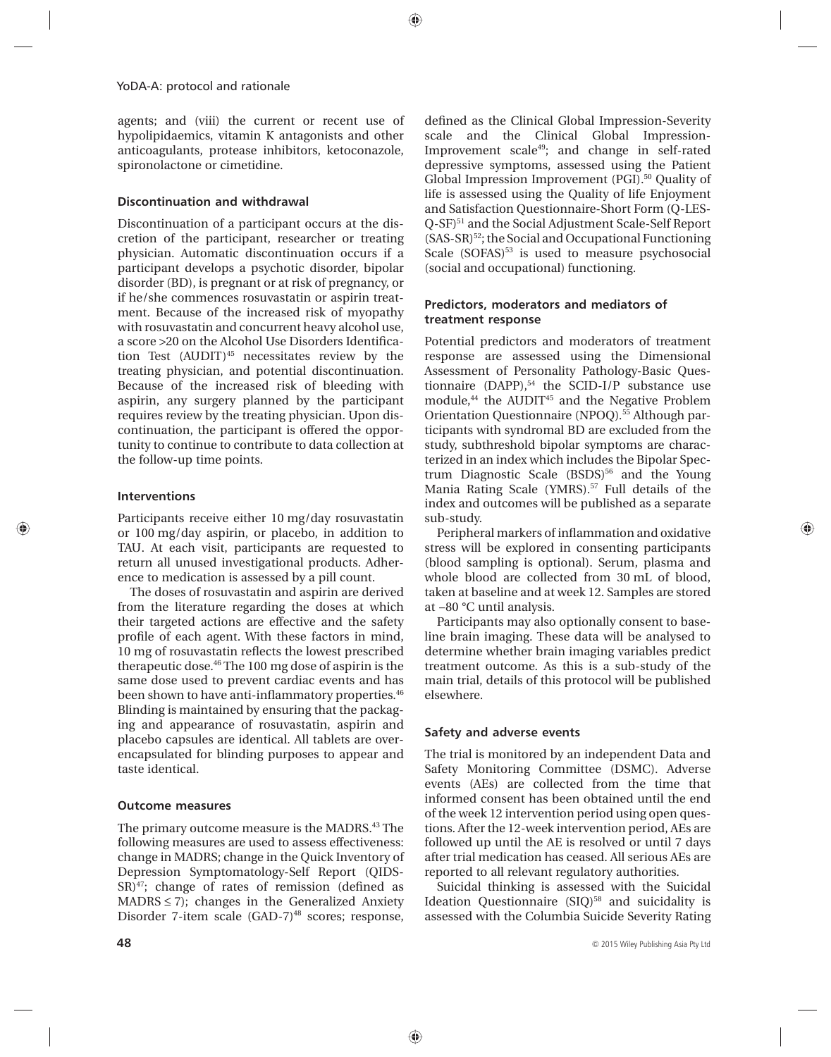agents; and (viii) the current or recent use of hypolipidaemics, vitamin K antagonists and other anticoagulants, protease inhibitors, ketoconazole, spironolactone or cimetidine.

## **Discontinuation and withdrawal**

Discontinuation of a participant occurs at the discretion of the participant, researcher or treating physician. Automatic discontinuation occurs if a participant develops a psychotic disorder, bipolar disorder (BD), is pregnant or at risk of pregnancy, or if he/she commences rosuvastatin or aspirin treatment. Because of the increased risk of myopathy with rosuvastatin and concurrent heavy alcohol use, a score >20 on the Alcohol Use Disorders Identification Test  $(AUDIT)^{45}$  necessitates review by the treating physician, and potential discontinuation. Because of the increased risk of bleeding with aspirin, any surgery planned by the participant requires review by the treating physician. Upon discontinuation, the participant is offered the opportunity to continue to contribute to data collection at the follow-up time points.

#### **Interventions**

Participants receive either 10 mg/day rosuvastatin or 100 mg/day aspirin, or placebo, in addition to TAU. At each visit, participants are requested to return all unused investigational products. Adherence to medication is assessed by a pill count.

The doses of rosuvastatin and aspirin are derived from the literature regarding the doses at which their targeted actions are effective and the safety profile of each agent. With these factors in mind, 10 mg of rosuvastatin reflects the lowest prescribed therapeutic dose.46 The 100 mg dose of aspirin is the same dose used to prevent cardiac events and has been shown to have anti-inflammatory properties.<sup>46</sup> Blinding is maintained by ensuring that the packaging and appearance of rosuvastatin, aspirin and placebo capsules are identical. All tablets are overencapsulated for blinding purposes to appear and taste identical.

## **Outcome measures**

The primary outcome measure is the MADRS.<sup>43</sup> The following measures are used to assess effectiveness: change in MADRS; change in the Quick Inventory of Depression Symptomatology-Self Report (QIDS- $SR)^{47}$ ; change of rates of remission (defined as  $MADRS \leq 7$ ; changes in the Generalized Anxiety Disorder 7-item scale  $(GAD-7)^{48}$  scores; response, defined as the Clinical Global Impression-Severity scale and the Clinical Global Impression-Improvement scale<sup>49</sup>; and change in self-rated depressive symptoms, assessed using the Patient Global Impression Improvement (PGI).<sup>50</sup> Quality of life is assessed using the Quality of life Enjoyment and Satisfaction Questionnaire-Short Form (Q-LES-Q-SF)<sup>51</sup> and the Social Adjustment Scale-Self Report  $(SAS-SR)<sup>52</sup>$ ; the Social and Occupational Functioning Scale  $(SOFAS)^{53}$  is used to measure psychosocial (social and occupational) functioning.

## **Predictors, moderators and mediators of treatment response**

Potential predictors and moderators of treatment response are assessed using the Dimensional Assessment of Personality Pathology-Basic Questionnaire  $(DAPP)$ ,<sup>54</sup> the SCID-I/P substance use module,<sup>44</sup> the AUDIT<sup>45</sup> and the Negative Problem Orientation Questionnaire (NPOQ)*.* <sup>55</sup> Although participants with syndromal BD are excluded from the study, subthreshold bipolar symptoms are characterized in an index which includes the Bipolar Spectrum Diagnostic Scale  $(BSDS)$ <sup>56</sup> and the Young Mania Rating Scale (YMRS).<sup>57</sup> Full details of the index and outcomes will be published as a separate sub-study.

Peripheral markers of inflammation and oxidative stress will be explored in consenting participants (blood sampling is optional). Serum, plasma and whole blood are collected from 30 mL of blood, taken at baseline and at week 12. Samples are stored at −80 °C until analysis.

Participants may also optionally consent to baseline brain imaging. These data will be analysed to determine whether brain imaging variables predict treatment outcome. As this is a sub-study of the main trial, details of this protocol will be published elsewhere.

## **Safety and adverse events**

The trial is monitored by an independent Data and Safety Monitoring Committee (DSMC). Adverse events (AEs) are collected from the time that informed consent has been obtained until the end of the week 12 intervention period using open questions. After the 12-week intervention period, AEs are followed up until the AE is resolved or until 7 days after trial medication has ceased. All serious AEs are reported to all relevant regulatory authorities.

Suicidal thinking is assessed with the Suicidal Ideation Questionnaire  $(SIQ)^{58}$  and suicidality is assessed with the Columbia Suicide Severity Rating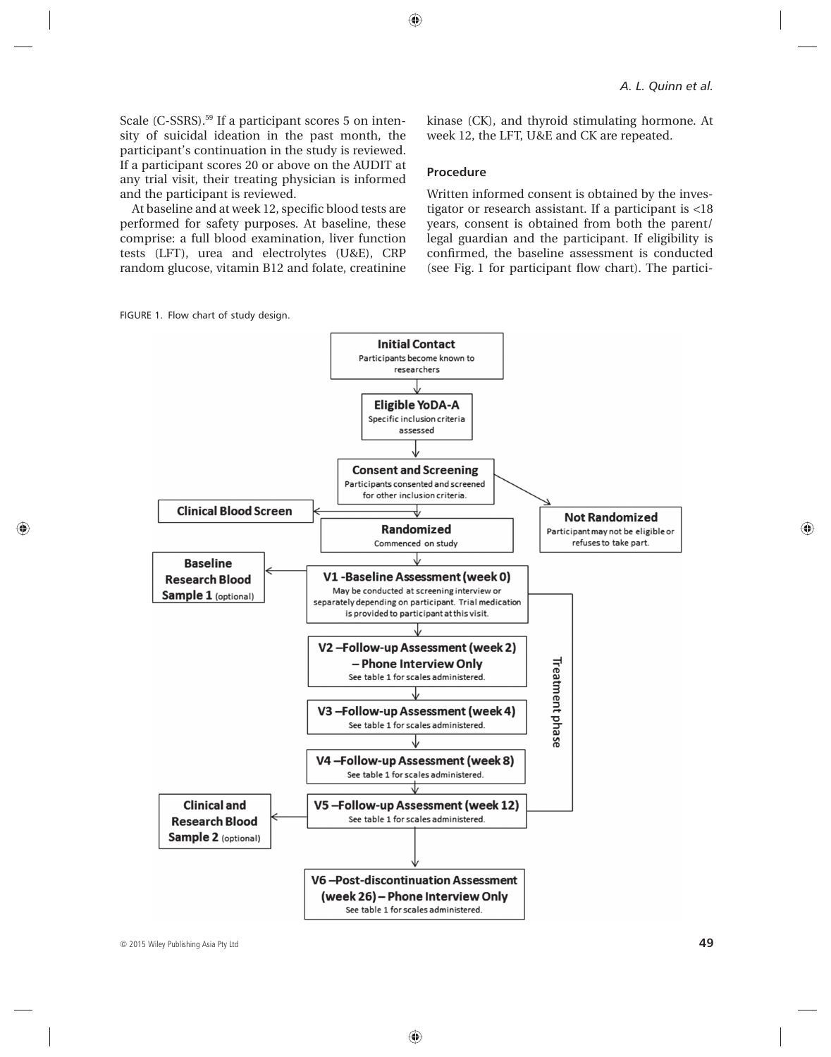Scale (C-SSRS).<sup>59</sup> If a participant scores 5 on intensity of suicidal ideation in the past month, the participant's continuation in the study is reviewed. If a participant scores 20 or above on the AUDIT at any trial visit, their treating physician is informed and the participant is reviewed.

At baseline and at week 12, specific blood tests are performed for safety purposes. At baseline, these comprise: a full blood examination, liver function tests (LFT), urea and electrolytes (U&E), CRP random glucose, vitamin B12 and folate, creatinine

FIGURE 1. Flow chart of study design.

kinase (CK), and thyroid stimulating hormone. At week 12, the LFT, U&E and CK are repeated.

#### **Procedure**

Written informed consent is obtained by the investigator or research assistant. If a participant is <18 years, consent is obtained from both the parent/ legal guardian and the participant. If eligibility is confirmed, the baseline assessment is conducted (see Fig. 1 for participant flow chart). The partici-

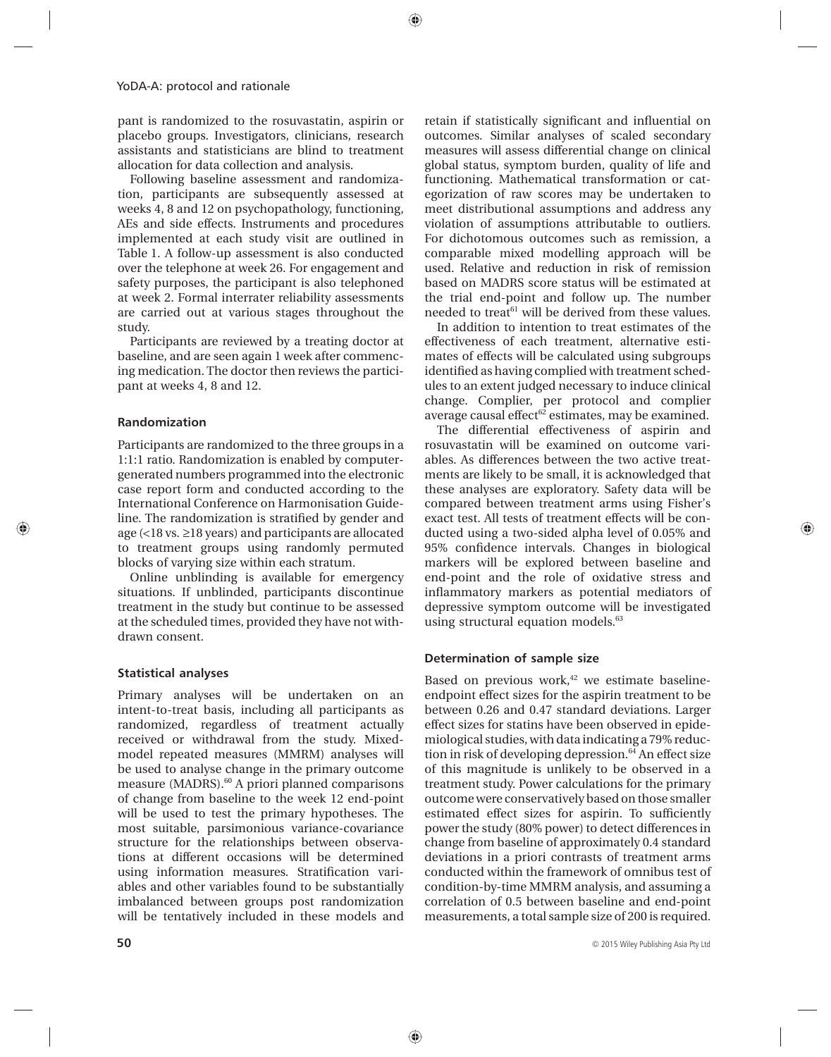pant is randomized to the rosuvastatin, aspirin or placebo groups. Investigators, clinicians, research assistants and statisticians are blind to treatment allocation for data collection and analysis.

Following baseline assessment and randomization, participants are subsequently assessed at weeks 4, 8 and 12 on psychopathology, functioning, AEs and side effects. Instruments and procedures implemented at each study visit are outlined in Table 1. A follow-up assessment is also conducted over the telephone at week 26. For engagement and safety purposes, the participant is also telephoned at week 2. Formal interrater reliability assessments are carried out at various stages throughout the study.

Participants are reviewed by a treating doctor at baseline, and are seen again 1 week after commencing medication. The doctor then reviews the participant at weeks 4, 8 and 12.

## **Randomization**

Participants are randomized to the three groups in a 1:1:1 ratio. Randomization is enabled by computergenerated numbers programmed into the electronic case report form and conducted according to the International Conference on Harmonisation Guideline. The randomization is stratified by gender and age (<18 vs. ≥18 years) and participants are allocated to treatment groups using randomly permuted blocks of varying size within each stratum.

Online unblinding is available for emergency situations. If unblinded, participants discontinue treatment in the study but continue to be assessed at the scheduled times, provided they have not withdrawn consent.

# **Statistical analyses**

Primary analyses will be undertaken on an intent-to-treat basis, including all participants as randomized, regardless of treatment actually received or withdrawal from the study. Mixedmodel repeated measures (MMRM) analyses will be used to analyse change in the primary outcome measure (MADRS).<sup>60</sup> A priori planned comparisons of change from baseline to the week 12 end-point will be used to test the primary hypotheses. The most suitable, parsimonious variance-covariance structure for the relationships between observations at different occasions will be determined using information measures. Stratification variables and other variables found to be substantially imbalanced between groups post randomization will be tentatively included in these models and

retain if statistically significant and influential on outcomes. Similar analyses of scaled secondary measures will assess differential change on clinical global status, symptom burden, quality of life and functioning. Mathematical transformation or categorization of raw scores may be undertaken to meet distributional assumptions and address any violation of assumptions attributable to outliers. For dichotomous outcomes such as remission, a comparable mixed modelling approach will be used. Relative and reduction in risk of remission based on MADRS score status will be estimated at the trial end-point and follow up. The number needed to treat<sup>61</sup> will be derived from these values.

In addition to intention to treat estimates of the effectiveness of each treatment, alternative estimates of effects will be calculated using subgroups identified as having complied with treatment schedules to an extent judged necessary to induce clinical change. Complier, per protocol and complier average causal effect $62$  estimates, may be examined.

The differential effectiveness of aspirin and rosuvastatin will be examined on outcome variables. As differences between the two active treatments are likely to be small, it is acknowledged that these analyses are exploratory. Safety data will be compared between treatment arms using Fisher's exact test. All tests of treatment effects will be conducted using a two-sided alpha level of 0.05% and 95% confidence intervals. Changes in biological markers will be explored between baseline and end-point and the role of oxidative stress and inflammatory markers as potential mediators of depressive symptom outcome will be investigated using structural equation models.<sup>63</sup>

# **Determination of sample size**

Based on previous work,<sup>42</sup> we estimate baselineendpoint effect sizes for the aspirin treatment to be between 0.26 and 0.47 standard deviations. Larger effect sizes for statins have been observed in epidemiological studies, with data indicating a 79% reduction in risk of developing depression. $64$  An effect size of this magnitude is unlikely to be observed in a treatment study. Power calculations for the primary outcome were conservatively based on those smaller estimated effect sizes for aspirin. To sufficiently power the study (80% power) to detect differences in change from baseline of approximately 0.4 standard deviations in a priori contrasts of treatment arms conducted within the framework of omnibus test of condition-by-time MMRM analysis, and assuming a correlation of 0.5 between baseline and end-point measurements, a total sample size of 200 is required.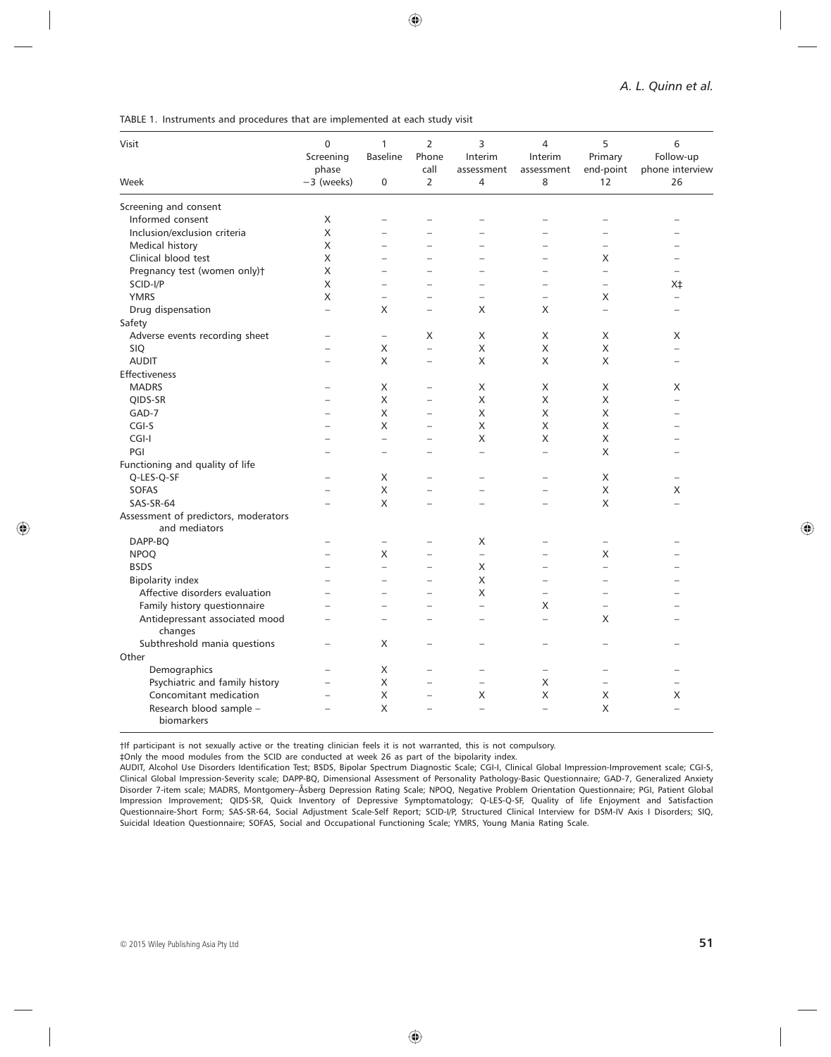TABLE 1. Instruments and procedures that are implemented at each study visit

| Visit<br>Week                                         | $\pmb{0}$<br>Screening<br>phase<br>$-3$ (weeks) | 1<br><b>Baseline</b><br>$\mathbf 0$ | $\overline{2}$<br>Phone<br>call<br>$\overline{2}$ | 3<br>Interim<br>assessment<br>$\overline{4}$ | $\overline{4}$<br>Interim<br>assessment<br>8 | 5<br>Primary<br>end-point<br>12 | 6<br>Follow-up<br>phone interview<br>26 |
|-------------------------------------------------------|-------------------------------------------------|-------------------------------------|---------------------------------------------------|----------------------------------------------|----------------------------------------------|---------------------------------|-----------------------------------------|
|                                                       |                                                 |                                     |                                                   |                                              |                                              |                                 |                                         |
| Informed consent                                      | X                                               |                                     |                                                   |                                              |                                              |                                 |                                         |
| Inclusion/exclusion criteria                          | X                                               | $\equiv$                            | ۳                                                 | $\overline{a}$                               | ۳                                            | $\overline{\phantom{0}}$        |                                         |
| Medical history                                       | X                                               | $\overline{a}$                      | $\overline{\phantom{0}}$                          | $\overline{a}$                               | L.                                           | $\overline{a}$                  |                                         |
| Clinical blood test                                   | X                                               | $=$                                 | $\overline{\phantom{0}}$                          | $\overline{\phantom{0}}$                     | $\overline{\phantom{a}}$                     | X                               |                                         |
| Pregnancy test (women only)+                          | X                                               |                                     | $\overline{\phantom{a}}$                          | $\overline{a}$                               | $\overline{\phantom{0}}$                     | $\equiv$                        | $\overline{\phantom{0}}$                |
| SCID-I/P                                              | X                                               | ۳                                   | $\overline{a}$                                    | $\overline{a}$                               | $\overline{\phantom{a}}$                     | $\overline{\phantom{0}}$        | X‡                                      |
| <b>YMRS</b>                                           | X                                               | $\overline{a}$                      | $\overline{\phantom{0}}$                          | $\overline{a}$                               | $\overline{\phantom{a}}$                     | X                               | $\overline{\phantom{0}}$                |
| Drug dispensation                                     | $\overline{\phantom{0}}$                        | X                                   | $\overline{\phantom{a}}$                          | X                                            | X                                            | $\overline{\phantom{0}}$        | $\overline{\phantom{0}}$                |
| Safety                                                |                                                 |                                     |                                                   |                                              |                                              |                                 |                                         |
| Adverse events recording sheet                        |                                                 | $\overline{\phantom{0}}$            | X                                                 | X                                            | X                                            | Χ                               | X                                       |
| <b>SIQ</b>                                            |                                                 | X                                   | $\overline{\phantom{0}}$                          | Χ                                            | Χ                                            | X                               | $\overline{\phantom{0}}$                |
| <b>AUDIT</b>                                          |                                                 | X                                   | $\overline{\phantom{0}}$                          | X                                            | Χ                                            | X                               | $\equiv$                                |
| Effectiveness                                         |                                                 |                                     |                                                   |                                              |                                              |                                 |                                         |
| <b>MADRS</b>                                          |                                                 | X                                   | $\overline{\phantom{0}}$                          | Χ                                            | X                                            | Χ                               | X                                       |
| QIDS-SR                                               |                                                 | X                                   | $\overline{\phantom{0}}$                          | X                                            | X                                            | X                               | $\overline{\phantom{0}}$                |
| GAD-7                                                 |                                                 | X                                   | $\overline{\phantom{0}}$                          | Χ                                            | Χ                                            | X                               |                                         |
| $CGI-S$                                               |                                                 | X                                   | $\overline{\phantom{a}}$                          | X                                            | X                                            | X                               |                                         |
| $CGI-I$                                               |                                                 | $\overline{\phantom{0}}$            | $\overline{\phantom{0}}$                          | X                                            | X                                            | X                               |                                         |
| PGI                                                   |                                                 | $\equiv$                            | ۳                                                 | $\overline{\phantom{0}}$                     | $\equiv$                                     | X                               |                                         |
| Functioning and quality of life                       |                                                 |                                     |                                                   |                                              |                                              |                                 |                                         |
| Q-LES-Q-SF                                            |                                                 | X                                   | $\overline{\phantom{0}}$                          | $\overline{\phantom{0}}$                     | $\equiv$                                     | Χ                               |                                         |
| SOFAS                                                 |                                                 | X                                   | $\overline{a}$                                    |                                              |                                              | X                               | X                                       |
| SAS-SR-64                                             | $\overline{\phantom{a}}$                        | X                                   | $\overline{\phantom{a}}$                          | $\overline{\phantom{0}}$                     | $\overline{\phantom{0}}$                     | X                               | $\equiv$                                |
| Assessment of predictors, moderators<br>and mediators |                                                 |                                     |                                                   |                                              |                                              |                                 |                                         |
| DAPP-BQ                                               |                                                 | $\overline{\phantom{0}}$            | $\overline{\phantom{a}}$                          | X                                            | $\overline{\phantom{a}}$                     | $\overline{\phantom{0}}$        |                                         |
| <b>NPOQ</b>                                           |                                                 | X                                   | $\overline{a}$                                    | $\overline{\phantom{0}}$                     |                                              | X                               |                                         |
| <b>BSDS</b>                                           |                                                 | $\overline{a}$                      | $\overline{\phantom{a}}$                          | X                                            | $\overline{\phantom{0}}$                     | $\overline{a}$                  |                                         |
| <b>Bipolarity index</b>                               |                                                 | ▃                                   | $\overline{\phantom{0}}$                          | Χ                                            | $\overline{\phantom{0}}$                     |                                 |                                         |
| Affective disorders evaluation                        |                                                 |                                     | $\overline{\phantom{0}}$                          | Χ                                            | $\overline{\phantom{a}}$                     | $\overline{a}$                  |                                         |
| Family history questionnaire                          |                                                 | ۳                                   | $\overline{\phantom{a}}$                          | $\overline{\phantom{0}}$                     | X                                            | $\overline{\phantom{0}}$        |                                         |
| Antidepressant associated mood<br>changes             |                                                 |                                     |                                                   | $\overline{\phantom{0}}$                     | $\overline{a}$                               | X                               |                                         |
| Subthreshold mania questions                          | $\overline{\phantom{0}}$                        | X                                   |                                                   | $\overline{\phantom{0}}$                     | $\overline{\phantom{0}}$                     |                                 |                                         |
| Other                                                 |                                                 |                                     |                                                   |                                              |                                              |                                 |                                         |
| Demographics                                          |                                                 | X                                   | $\overline{\phantom{a}}$                          | $\overline{\phantom{0}}$                     | $\overline{\phantom{a}}$                     |                                 |                                         |
| Psychiatric and family history                        |                                                 | X                                   | $\overline{\phantom{0}}$                          | $\overline{a}$                               | X                                            | $\overline{\phantom{0}}$        |                                         |
| Concomitant medication                                |                                                 | X                                   | $\overline{\phantom{0}}$                          | X                                            | X                                            | X                               | X                                       |
| Research blood sample -<br>biomarkers                 |                                                 | X                                   |                                                   | $\overline{a}$                               | $\overline{\phantom{0}}$                     | X                               |                                         |

†If participant is not sexually active or the treating clinician feels it is not warranted, this is not compulsory.

‡Only the mood modules from the SCID are conducted at week 26 as part of the bipolarity index.

AUDIT, Alcohol Use Disorders Identification Test; BSDS, Bipolar Spectrum Diagnostic Scale; CGI-I, Clinical Global Impression-Improvement scale; CGI-S, Clinical Global Impression-Severity scale; DAPP-BQ, Dimensional Assessment of Personality Pathology-Basic Questionnaire; GAD-7, Generalized Anxiety Disorder 7-item scale; MADRS, Montgomery–Åsberg Depression Rating Scale; NPOQ, Negative Problem Orientation Questionnaire; PGI, Patient Global Impression Improvement; QIDS-SR, Quick Inventory of Depressive Symptomatology; Q-LES-Q-SF, Quality of life Enjoyment and Satisfaction Questionnaire-Short Form; SAS-SR-64, Social Adjustment Scale-Self Report; SCID-I/P, Structured Clinical Interview for DSM-IV Axis I Disorders; SIQ, Suicidal Ideation Questionnaire; SOFAS, Social and Occupational Functioning Scale; YMRS, Young Mania Rating Scale.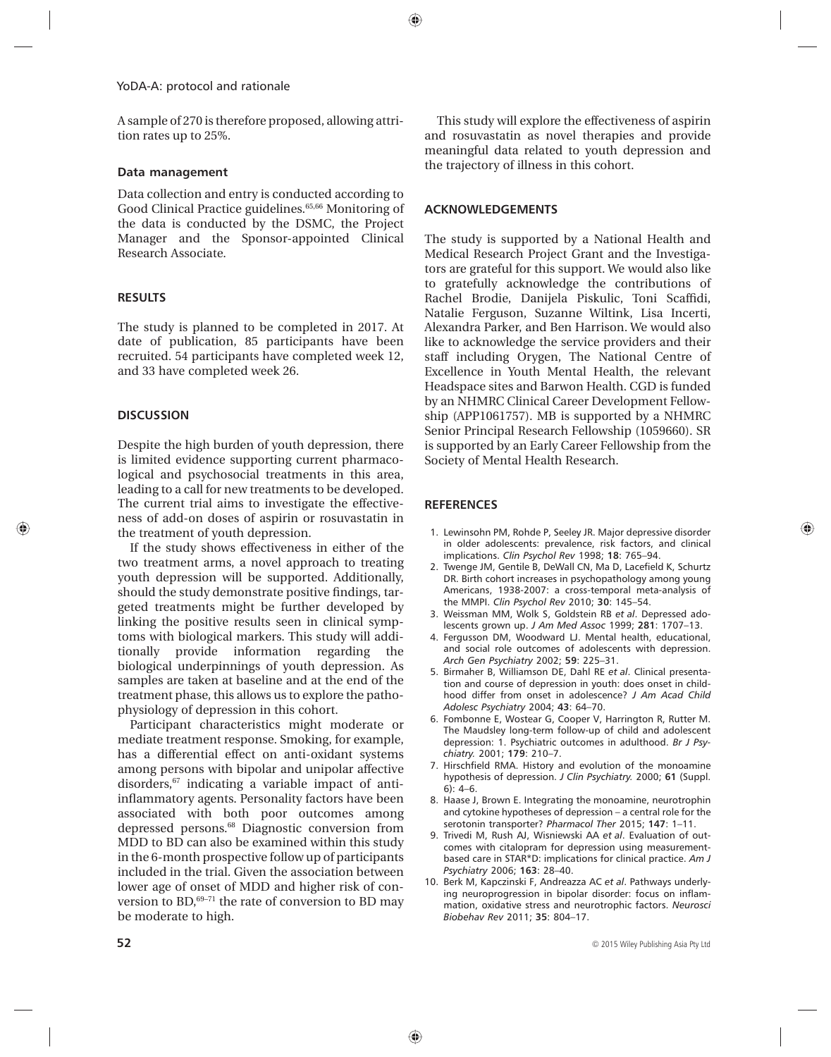A sample of 270 is therefore proposed, allowing attrition rates up to 25%.

#### **Data management**

Data collection and entry is conducted according to Good Clinical Practice guidelines.<sup>65,66</sup> Monitoring of the data is conducted by the DSMC, the Project Manager and the Sponsor-appointed Clinical Research Associate.

## **RESULTS**

The study is planned to be completed in 2017. At date of publication, 85 participants have been recruited. 54 participants have completed week 12, and 33 have completed week 26.

## **DISCUSSION**

Despite the high burden of youth depression, there is limited evidence supporting current pharmacological and psychosocial treatments in this area, leading to a call for new treatments to be developed. The current trial aims to investigate the effectiveness of add-on doses of aspirin or rosuvastatin in the treatment of youth depression.

If the study shows effectiveness in either of the two treatment arms, a novel approach to treating youth depression will be supported. Additionally, should the study demonstrate positive findings, targeted treatments might be further developed by linking the positive results seen in clinical symptoms with biological markers. This study will additionally provide information regarding the biological underpinnings of youth depression. As samples are taken at baseline and at the end of the treatment phase, this allows us to explore the pathophysiology of depression in this cohort.

Participant characteristics might moderate or mediate treatment response. Smoking, for example, has a differential effect on anti-oxidant systems among persons with bipolar and unipolar affective disorders, $67$  indicating a variable impact of antiinflammatory agents. Personality factors have been associated with both poor outcomes among depressed persons.<sup>68</sup> Diagnostic conversion from MDD to BD can also be examined within this study in the 6-month prospective follow up of participants included in the trial. Given the association between lower age of onset of MDD and higher risk of conversion to  $BD$ ,  $69-71$  the rate of conversion to BD may be moderate to high.

This study will explore the effectiveness of aspirin and rosuvastatin as novel therapies and provide meaningful data related to youth depression and the trajectory of illness in this cohort.

## **ACKNOWLEDGEMENTS**

The study is supported by a National Health and Medical Research Project Grant and the Investigators are grateful for this support. We would also like to gratefully acknowledge the contributions of Rachel Brodie, Danijela Piskulic, Toni Scaffidi, Natalie Ferguson, Suzanne Wiltink, Lisa Incerti, Alexandra Parker, and Ben Harrison. We would also like to acknowledge the service providers and their staff including Orygen, The National Centre of Excellence in Youth Mental Health, the relevant Headspace sites and Barwon Health. CGD is funded by an NHMRC Clinical Career Development Fellowship (APP1061757). MB is supported by a NHMRC Senior Principal Research Fellowship (1059660). SR is supported by an Early Career Fellowship from the Society of Mental Health Research.

## **REFERENCES**

- 1. Lewinsohn PM, Rohde P, Seeley JR. Major depressive disorder in older adolescents: prevalence, risk factors, and clinical implications. *Clin Psychol Rev* 1998; **18**: 765–94.
- 2. Twenge JM, Gentile B, DeWall CN, Ma D, Lacefield K, Schurtz DR. Birth cohort increases in psychopathology among young Americans, 1938-2007: a cross-temporal meta-analysis of the MMPI. *Clin Psychol Rev* 2010; **30**: 145–54.
- 3. Weissman MM, Wolk S, Goldstein RB *et al*. Depressed adolescents grown up. *J Am Med Assoc* 1999; **281**: 1707–13.
- 4. Fergusson DM, Woodward LJ. Mental health, educational, and social role outcomes of adolescents with depression. *Arch Gen Psychiatry* 2002; **59**: 225–31.
- 5. Birmaher B, Williamson DE, Dahl RE *et al*. Clinical presentation and course of depression in youth: does onset in childhood differ from onset in adolescence? *J Am Acad Child Adolesc Psychiatry* 2004; **43**: 64–70.
- 6. Fombonne E, Wostear G, Cooper V, Harrington R, Rutter M. The Maudsley long-term follow-up of child and adolescent depression: 1. Psychiatric outcomes in adulthood. *Br J Psychiatry.* 2001; **179**: 210–7.
- 7. Hirschfield RMA. History and evolution of the monoamine hypothesis of depression. *J Clin Psychiatry.* 2000; **61** (Suppl.  $6)$ : 4–6.
- 8. Haase J, Brown E. Integrating the monoamine, neurotrophin and cytokine hypotheses of depression – a central role for the serotonin transporter? *Pharmacol Ther* 2015; **147**: 1–11.
- 9. Trivedi M, Rush AJ, Wisniewski AA *et al*. Evaluation of outcomes with citalopram for depression using measurementbased care in STAR\*D: implications for clinical practice. *Am J Psychiatry* 2006; **163**: 28–40.
- 10. Berk M, Kapczinski F, Andreazza AC *et al*. Pathways underlying neuroprogression in bipolar disorder: focus on inflammation, oxidative stress and neurotrophic factors. *Neurosci Biobehav Rev* 2011; **35**: 804–17.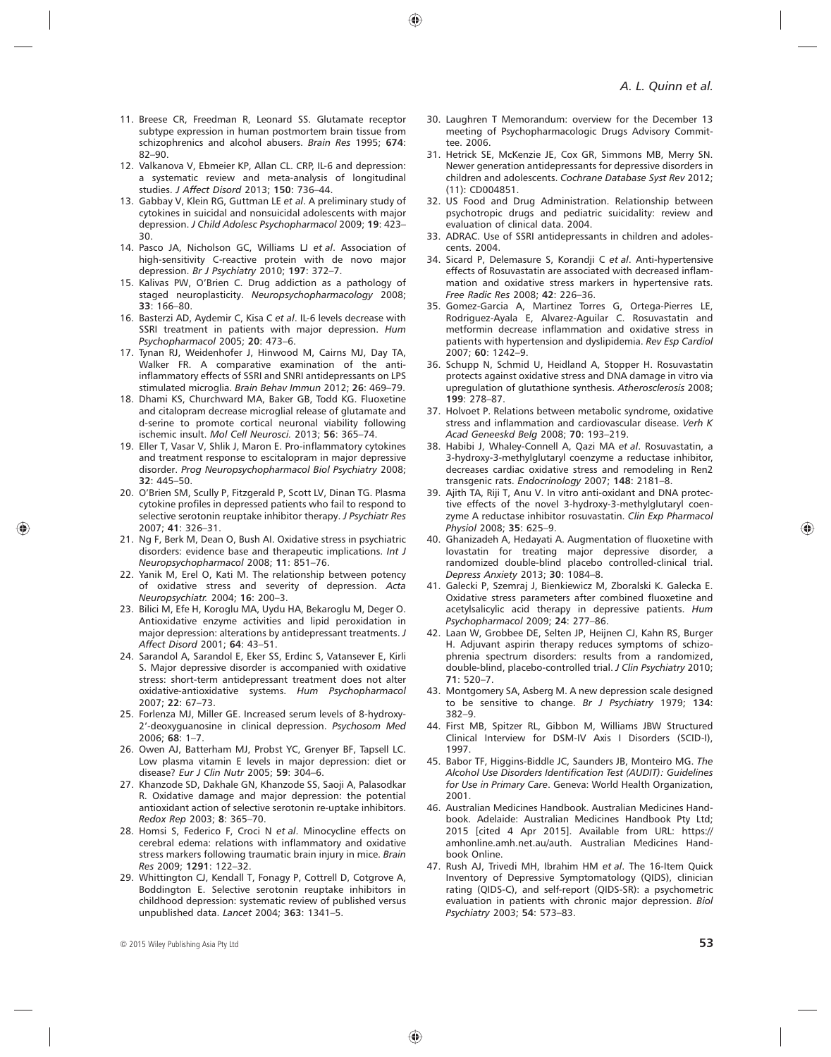- 11. Breese CR, Freedman R, Leonard SS. Glutamate receptor subtype expression in human postmortem brain tissue from schizophrenics and alcohol abusers. *Brain Res* 1995; **674**: 82–90.
- 12. Valkanova V, Ebmeier KP, Allan CL. CRP, IL-6 and depression: a systematic review and meta-analysis of longitudinal studies. *J Affect Disord* 2013; **150**: 736–44.
- 13. Gabbay V, Klein RG, Guttman LE *et al*. A preliminary study of cytokines in suicidal and nonsuicidal adolescents with major depression. *J Child Adolesc Psychopharmacol* 2009; **19**: 423– 30.
- 14. Pasco JA, Nicholson GC, Williams LJ *et al*. Association of high-sensitivity C-reactive protein with de novo major depression. *Br J Psychiatry* 2010; **197**: 372–7.
- 15. Kalivas PW, O'Brien C. Drug addiction as a pathology of staged neuroplasticity. *Neuropsychopharmacology* 2008; **33**: 166–80.
- 16. Basterzi AD, Aydemir C, Kisa C *et al*. IL-6 levels decrease with SSRI treatment in patients with major depression. *Hum Psychopharmacol* 2005; **20**: 473–6.
- 17. Tynan RJ, Weidenhofer J, Hinwood M, Cairns MJ, Day TA, Walker FR. A comparative examination of the antiinflammatory effects of SSRI and SNRI antidepressants on LPS stimulated microglia. *Brain Behav Immun* 2012; **26**: 469–79.
- 18. Dhami KS, Churchward MA, Baker GB, Todd KG. Fluoxetine and citalopram decrease microglial release of glutamate and d-serine to promote cortical neuronal viability following ischemic insult. *Mol Cell Neurosci.* 2013; **56**: 365–74.
- 19. Eller T, Vasar V, Shlik J, Maron E. Pro-inflammatory cytokines and treatment response to escitalopram in major depressive disorder. *Prog Neuropsychopharmacol Biol Psychiatry* 2008; **32**: 445–50.
- 20. O'Brien SM, Scully P, Fitzgerald P, Scott LV, Dinan TG. Plasma cytokine profiles in depressed patients who fail to respond to selective serotonin reuptake inhibitor therapy. *J Psychiatr Res* 2007; **41**: 326–31.
- 21. Ng F, Berk M, Dean O, Bush AI. Oxidative stress in psychiatric disorders: evidence base and therapeutic implications. *Int J Neuropsychopharmacol* 2008; **11**: 851–76.
- 22. Yanik M, Erel O, Kati M. The relationship between potency of oxidative stress and severity of depression. *Acta Neuropsychiatr.* 2004; **16**: 200–3.
- 23. Bilici M, Efe H, Koroglu MA, Uydu HA, Bekaroglu M, Deger O. Antioxidative enzyme activities and lipid peroxidation in major depression: alterations by antidepressant treatments. *J Affect Disord* 2001; **64**: 43–51.
- 24. Sarandol A, Sarandol E, Eker SS, Erdinc S, Vatansever E, Kirli S. Major depressive disorder is accompanied with oxidative stress: short-term antidepressant treatment does not alter oxidative-antioxidative systems. *Hum Psychopharmacol* 2007; **22**: 67–73.
- 25. Forlenza MJ, Miller GE. Increased serum levels of 8-hydroxy-2'-deoxyguanosine in clinical depression. *Psychosom Med* 2006; **68**: 1–7.
- 26. Owen AJ, Batterham MJ, Probst YC, Grenyer BF, Tapsell LC. Low plasma vitamin E levels in major depression: diet or disease? *Eur J Clin Nutr* 2005; **59**: 304–6.
- 27. Khanzode SD, Dakhale GN, Khanzode SS, Saoji A, Palasodkar R. Oxidative damage and major depression: the potential antioxidant action of selective serotonin re-uptake inhibitors. *Redox Rep* 2003; **8**: 365–70.
- 28. Homsi S, Federico F, Croci N *et al*. Minocycline effects on cerebral edema: relations with inflammatory and oxidative stress markers following traumatic brain injury in mice. *Brain Res* 2009; **1291**: 122–32.
- 29. Whittington CJ, Kendall T, Fonagy P, Cottrell D, Cotgrove A, Boddington E. Selective serotonin reuptake inhibitors in childhood depression: systematic review of published versus unpublished data. *Lancet* 2004; **363**: 1341–5.
- © 2015 Wiley Publishing Asia Pty Ltd **9** © 2015 Wiley Publishing Asia Pty Ltd**53**
- 30. Laughren T Memorandum: overview for the December 13 meeting of Psychopharmacologic Drugs Advisory Committee. 2006.
- 31. Hetrick SE, McKenzie JE, Cox GR, Simmons MB, Merry SN. Newer generation antidepressants for depressive disorders in children and adolescents. *Cochrane Database Syst Rev* 2012; (11): CD004851.
- 32. US Food and Drug Administration. Relationship between psychotropic drugs and pediatric suicidality: review and evaluation of clinical data. 2004.
- 33. ADRAC. Use of SSRI antidepressants in children and adolescents. 2004.
- 34. Sicard P, Delemasure S, Korandji C *et al*. Anti-hypertensive effects of Rosuvastatin are associated with decreased inflammation and oxidative stress markers in hypertensive rats. *Free Radic Res* 2008; **42**: 226–36.
- 35. Gomez-Garcia A, Martinez Torres G, Ortega-Pierres LE, Rodriguez-Ayala E, Alvarez-Aguilar C. Rosuvastatin and metformin decrease inflammation and oxidative stress in patients with hypertension and dyslipidemia. *Rev Esp Cardiol* 2007; **60**: 1242–9.
- 36. Schupp N, Schmid U, Heidland A, Stopper H. Rosuvastatin protects against oxidative stress and DNA damage in vitro via upregulation of glutathione synthesis. *Atherosclerosis* 2008; **199**: 278–87.
- 37. Holvoet P. Relations between metabolic syndrome, oxidative stress and inflammation and cardiovascular disease. *Verh K Acad Geneeskd Belg* 2008; **70**: 193–219.
- 38. Habibi J, Whaley-Connell A, Qazi MA *et al*. Rosuvastatin, a 3-hydroxy-3-methylglutaryl coenzyme a reductase inhibitor, decreases cardiac oxidative stress and remodeling in Ren2 transgenic rats. *Endocrinology* 2007; **148**: 2181–8.
- 39. Ajith TA, Riji T, Anu V. In vitro anti-oxidant and DNA protective effects of the novel 3-hydroxy-3-methylglutaryl coenzyme A reductase inhibitor rosuvastatin. *Clin Exp Pharmacol Physiol* 2008; **35**: 625–9.
- 40. Ghanizadeh A, Hedayati A. Augmentation of fluoxetine with lovastatin for treating major depressive disorder, a randomized double-blind placebo controlled-clinical trial. *Depress Anxiety* 2013; **30**: 1084–8.
- 41. Galecki P, Szemraj J, Bienkiewicz M, Zboralski K. Galecka E. Oxidative stress parameters after combined fluoxetine and acetylsalicylic acid therapy in depressive patients. *Hum Psychopharmacol* 2009; **24**: 277–86.
- 42. Laan W, Grobbee DE, Selten JP, Heijnen CJ, Kahn RS, Burger H. Adjuvant aspirin therapy reduces symptoms of schizophrenia spectrum disorders: results from a randomized, double-blind, placebo-controlled trial. *J Clin Psychiatry* 2010; **71**: 520–7.
- 43. Montgomery SA, Asberg M. A new depression scale designed to be sensitive to change. *Br J Psychiatry* 1979; **134**: 382–9.
- 44. First MB, Spitzer RL, Gibbon M, Williams JBW Structured Clinical Interview for DSM-IV Axis I Disorders (SCID-I), 1997.
- 45. Babor TF, Higgins-Biddle JC, Saunders JB, Monteiro MG. *The Alcohol Use Disorders Identification Test (AUDIT): Guidelines for Use in Primary Care*. Geneva: World Health Organization, 2001.
- 46. Australian Medicines Handbook. Australian Medicines Handbook. Adelaide: Australian Medicines Handbook Pty Ltd; 2015 [cited 4 Apr 2015]. Available from URL: https:// amhonline.amh.net.au/auth. Australian Medicines Handbook Online.
- 47. Rush AJ, Trivedi MH, Ibrahim HM *et al*. The 16-Item Quick Inventory of Depressive Symptomatology (QIDS), clinician rating (QIDS-C), and self-report (QIDS-SR): a psychometric evaluation in patients with chronic major depression. *Biol Psychiatry* 2003; **54**: 573–83.